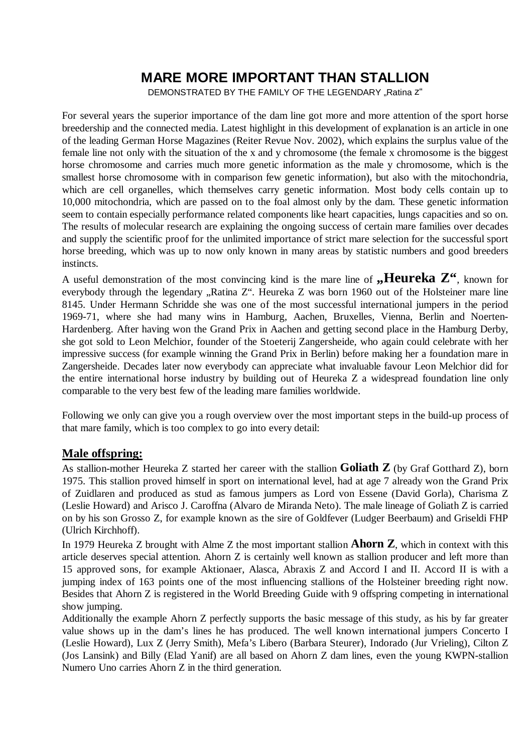## **MARE MORE IMPORTANT THAN STALLION**

DEMONSTRATED BY THE FAMILY OF THE LEGENDARY "Ratina Z"

For several years the superior importance of the dam line got more and more attention of the sport horse breedership and the connected media. Latest highlight in this development of explanation is an article in one of the leading German Horse Magazines (Reiter Revue Nov. 2002), which explains the surplus value of the female line not only with the situation of the x and y chromosome (the female x chromosome is the biggest horse chromosome and carries much more genetic information as the male y chromosome, which is the smallest horse chromosome with in comparison few genetic information), but also with the mitochondria, which are cell organelles, which themselves carry genetic information. Most body cells contain up to 10,000 mitochondria, which are passed on to the foal almost only by the dam. These genetic information seem to contain especially performance related components like heart capacities, lungs capacities and so on. The results of molecular research are explaining the ongoing success of certain mare families over decades and supply the scientific proof for the unlimited importance of strict mare selection for the successful sport horse breeding, which was up to now only known in many areas by statistic numbers and good breeders instincts.

A useful demonstration of the most convincing kind is the mare line of **"Heureka**  $\mathbb{Z}^6$ , known for everybody through the legendary "Ratina Z". Heureka Z was born 1960 out of the Holsteiner mare line 8145. Under Hermann Schridde she was one of the most successful international jumpers in the period 1969-71, where she had many wins in Hamburg, Aachen, Bruxelles, Vienna, Berlin and Noerten-Hardenberg. After having won the Grand Prix in Aachen and getting second place in the Hamburg Derby, she got sold to Leon Melchior, founder of the Stoeterij Zangersheide, who again could celebrate with her impressive success (for example winning the Grand Prix in Berlin) before making her a foundation mare in Zangersheide. Decades later now everybody can appreciate what invaluable favour Leon Melchior did for the entire international horse industry by building out of Heureka Z a widespread foundation line only comparable to the very best few of the leading mare families worldwide.

Following we only can give you a rough overview over the most important steps in the build-up process of that mare family, which is too complex to go into every detail:

## **Male offspring:**

As stallion-mother Heureka Z started her career with the stallion **Goliath Z** (by Graf Gotthard Z), born 1975. This stallion proved himself in sport on international level, had at age 7 already won the Grand Prix of Zuidlaren and produced as stud as famous jumpers as Lord von Essene (David Gorla), Charisma Z (Leslie Howard) and Arisco J. Caroffna (Alvaro de Miranda Neto). The male lineage of Goliath Z is carried on by his son Grosso Z, for example known as the sire of Goldfever (Ludger Beerbaum) and Griseldi FHP (Ulrich Kirchhoff).

In 1979 Heureka Z brought with Alme Z the most important stallion **Ahorn Z**, which in context with this article deserves special attention. Ahorn Z is certainly well known as stallion producer and left more than 15 approved sons, for example Aktionaer, Alasca, Abraxis Z and Accord I and II. Accord II is with a jumping index of 163 points one of the most influencing stallions of the Holsteiner breeding right now. Besides that Ahorn Z is registered in the World Breeding Guide with 9 offspring competing in international show jumping.

Additionally the example Ahorn Z perfectly supports the basic message of this study, as his by far greater value shows up in the dam's lines he has produced. The well known international jumpers Concerto I (Leslie Howard), Lux Z (Jerry Smith), Mefa's Libero (Barbara Steurer), Indorado (Jur Vrieling), Cilton Z (Jos Lansink) and Billy (Elad Yanif) are all based on Ahorn Z dam lines, even the young KWPN-stallion Numero Uno carries Ahorn Z in the third generation.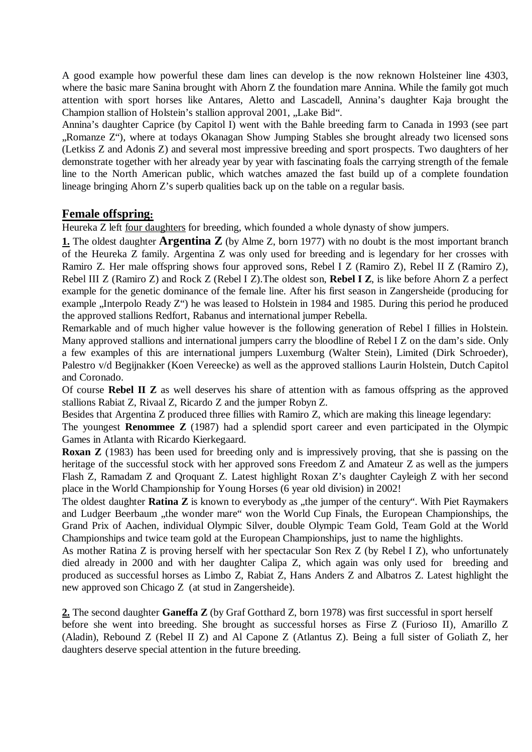A good example how powerful these dam lines can develop is the now reknown Holsteiner line 4303, where the basic mare Sanina brought with Ahorn Z the foundation mare Annina. While the family got much attention with sport horses like Antares, Aletto and Lascadell, Annina's daughter Kaja brought the Champion stallion of Holstein's stallion approval 2001, "Lake Bid".

Annina's daughter Caprice (by Capitol I) went with the Bahle breeding farm to Canada in 1993 (see part "Romanze Z"), where at todays Okanagan Show Jumping Stables she brought already two licensed sons (Letkiss Z and Adonis Z) and several most impressive breeding and sport prospects. Two daughters of her demonstrate together with her already year by year with fascinating foals the carrying strength of the female line to the North American public, which watches amazed the fast build up of a complete foundation lineage bringing Ahorn Z's superb qualities back up on the table on a regular basis.

## **Female offspring:**

Heureka Z left four daughters for breeding, which founded a whole dynasty of show jumpers.

**1.** The oldest daughter **Argentina Z** (by Alme Z, born 1977) with no doubt is the most important branch  $\overline{a}$  of the Heureka Z family. Argentina Z was only used for breeding and is legendary for her crosses with Ramiro Z. Her male offspring shows four approved sons, Rebel I Z (Ramiro Z), Rebel II Z (Ramiro Z), Rebel III Z (Ramiro Z) and Rock Z (Rebel I Z).The oldest son, **Rebel I Z**, is like before Ahorn Z a perfect example for the genetic dominance of the female line. After his first season in Zangersheide (producing for example "Interpolo Ready Z") he was leased to Holstein in 1984 and 1985. During this period he produced the approved stallions Redfort, Rabanus and international jumper Rebella.

Remarkable and of much higher value however is the following generation of Rebel I fillies in Holstein. Many approved stallions and international jumpers carry the bloodline of Rebel I Z on the dam's side. Only a few examples of this are international jumpers Luxemburg (Walter Stein), Limited (Dirk Schroeder), Palestro v/d Begijnakker (Koen Vereecke) as well as the approved stallions Laurin Holstein, Dutch Capitol and Coronado.

Of course **Rebel II Z** as well deserves his share of attention with as famous offspring as the approved stallions Rabiat Z, Rivaal Z, Ricardo Z and the jumper Robyn Z.

Besides that Argentina Z produced three fillies with Ramiro Z, which are making this lineage legendary:

The youngest **Renommee Z** (1987) had a splendid sport career and even participated in the Olympic Games in Atlanta with Ricardo Kierkegaard.

**Roxan Z** (1983) has been used for breeding only and is impressively proving, that she is passing on the heritage of the successful stock with her approved sons Freedom Z and Amateur Z as well as the jumpers Flash Z, Ramadam Z and Qroquant Z. Latest highlight Roxan Z's daughter Cayleigh Z with her second place in the World Championship for Young Horses (6 year old division) in 2002!

The oldest daughter **Ratina Z** is known to everybody as "the jumper of the century". With Piet Raymakers and Ludger Beerbaum "the wonder mare" won the World Cup Finals, the European Championships, the Grand Prix of Aachen, individual Olympic Silver, double Olympic Team Gold, Team Gold at the World Championships and twice team gold at the European Championships, just to name the highlights.

As mother Ratina Z is proving herself with her spectacular Son Rex Z (by Rebel I Z), who unfortunately died already in 2000 and with her daughter Calipa Z, which again was only used for breeding and produced as successful horses as Limbo Z, Rabiat Z, Hans Anders Z and Albatros Z. Latest highlight the new approved son Chicago Z (at stud in Zangersheide).

**2.** The second daughter **Ganeffa Z** (by Graf Gotthard Z, born 1978) was first successful in sport herself before she went into breeding. She brought as successful horses as Firse Z (Furioso II), Amarillo Z (Aladin), Rebound Z (Rebel II Z) and Al Capone Z (Atlantus Z). Being a full sister of Goliath Z, her daughters deserve special attention in the future breeding.